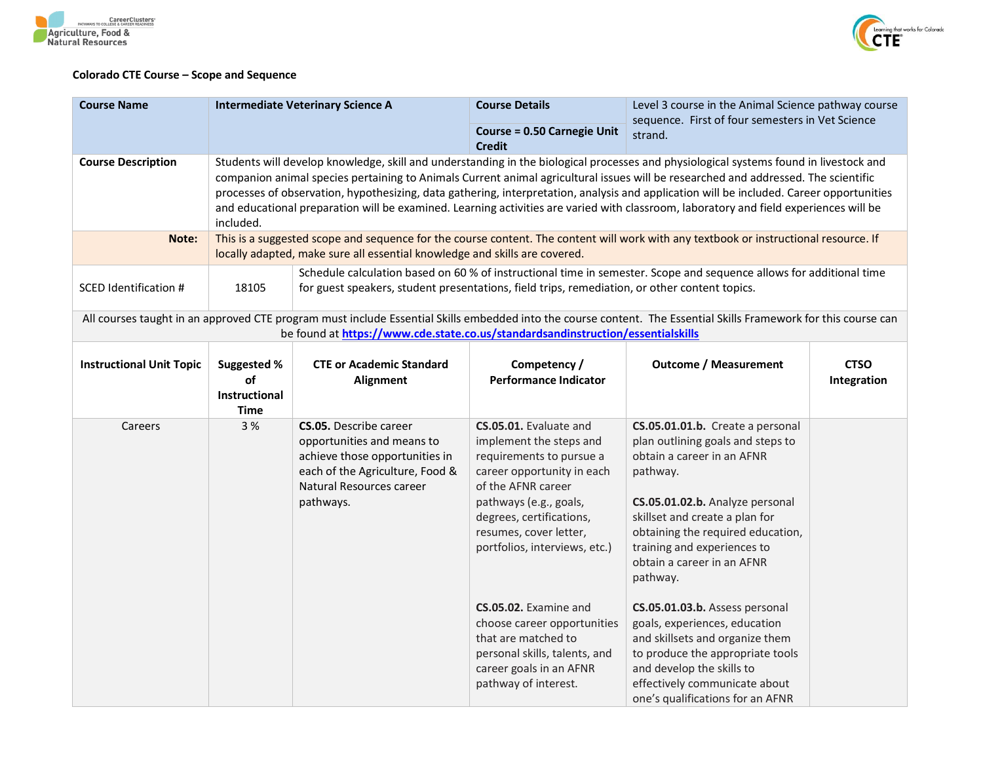



## **Colorado CTE Course – Scope and Sequence**

| <b>Course Name</b>              |                                                   | <b>Intermediate Veterinary Science A</b>                                                                                                                                                                                                                                                                                                                                                                                                                                                                                                                         | <b>Course Details</b>                                                                                                                                                                                                                                                                                                                                                                                                 | Level 3 course in the Animal Science pathway course<br>sequence. First of four semesters in Vet Science                                                                                                                                                                                                                                                                                                                                                                                                                                        |                            |  |
|---------------------------------|---------------------------------------------------|------------------------------------------------------------------------------------------------------------------------------------------------------------------------------------------------------------------------------------------------------------------------------------------------------------------------------------------------------------------------------------------------------------------------------------------------------------------------------------------------------------------------------------------------------------------|-----------------------------------------------------------------------------------------------------------------------------------------------------------------------------------------------------------------------------------------------------------------------------------------------------------------------------------------------------------------------------------------------------------------------|------------------------------------------------------------------------------------------------------------------------------------------------------------------------------------------------------------------------------------------------------------------------------------------------------------------------------------------------------------------------------------------------------------------------------------------------------------------------------------------------------------------------------------------------|----------------------------|--|
|                                 |                                                   |                                                                                                                                                                                                                                                                                                                                                                                                                                                                                                                                                                  | <b>Course = 0.50 Carnegie Unit</b><br><b>Credit</b>                                                                                                                                                                                                                                                                                                                                                                   | strand.                                                                                                                                                                                                                                                                                                                                                                                                                                                                                                                                        |                            |  |
| <b>Course Description</b>       | included.                                         | Students will develop knowledge, skill and understanding in the biological processes and physiological systems found in livestock and<br>companion animal species pertaining to Animals Current animal agricultural issues will be researched and addressed. The scientific<br>processes of observation, hypothesizing, data gathering, interpretation, analysis and application will be included. Career opportunities<br>and educational preparation will be examined. Learning activities are varied with classroom, laboratory and field experiences will be |                                                                                                                                                                                                                                                                                                                                                                                                                       |                                                                                                                                                                                                                                                                                                                                                                                                                                                                                                                                                |                            |  |
| Note:                           |                                                   | locally adapted, make sure all essential knowledge and skills are covered.                                                                                                                                                                                                                                                                                                                                                                                                                                                                                       |                                                                                                                                                                                                                                                                                                                                                                                                                       | This is a suggested scope and sequence for the course content. The content will work with any textbook or instructional resource. If                                                                                                                                                                                                                                                                                                                                                                                                           |                            |  |
| <b>SCED Identification #</b>    | 18105                                             | for guest speakers, student presentations, field trips, remediation, or other content topics.                                                                                                                                                                                                                                                                                                                                                                                                                                                                    |                                                                                                                                                                                                                                                                                                                                                                                                                       | Schedule calculation based on 60 % of instructional time in semester. Scope and sequence allows for additional time                                                                                                                                                                                                                                                                                                                                                                                                                            |                            |  |
|                                 |                                                   | be found at https://www.cde.state.co.us/standardsandinstruction/essentialskills                                                                                                                                                                                                                                                                                                                                                                                                                                                                                  |                                                                                                                                                                                                                                                                                                                                                                                                                       | All courses taught in an approved CTE program must include Essential Skills embedded into the course content. The Essential Skills Framework for this course can                                                                                                                                                                                                                                                                                                                                                                               |                            |  |
| <b>Instructional Unit Topic</b> | Suggested %<br>of<br>Instructional<br><b>Time</b> | <b>CTE or Academic Standard</b><br><b>Alignment</b>                                                                                                                                                                                                                                                                                                                                                                                                                                                                                                              | Competency /<br><b>Performance Indicator</b>                                                                                                                                                                                                                                                                                                                                                                          | <b>Outcome / Measurement</b>                                                                                                                                                                                                                                                                                                                                                                                                                                                                                                                   | <b>CTSO</b><br>Integration |  |
| Careers                         | 3 %                                               | <b>CS.05.</b> Describe career<br>opportunities and means to<br>achieve those opportunities in<br>each of the Agriculture, Food &<br>Natural Resources career<br>pathways.                                                                                                                                                                                                                                                                                                                                                                                        | CS.05.01. Evaluate and<br>implement the steps and<br>requirements to pursue a<br>career opportunity in each<br>of the AFNR career<br>pathways (e.g., goals,<br>degrees, certifications,<br>resumes, cover letter,<br>portfolios, interviews, etc.)<br>CS.05.02. Examine and<br>choose career opportunities<br>that are matched to<br>personal skills, talents, and<br>career goals in an AFNR<br>pathway of interest. | CS.05.01.01.b. Create a personal<br>plan outlining goals and steps to<br>obtain a career in an AFNR<br>pathway.<br>CS.05.01.02.b. Analyze personal<br>skillset and create a plan for<br>obtaining the required education,<br>training and experiences to<br>obtain a career in an AFNR<br>pathway.<br>CS.05.01.03.b. Assess personal<br>goals, experiences, education<br>and skillsets and organize them<br>to produce the appropriate tools<br>and develop the skills to<br>effectively communicate about<br>one's qualifications for an AFNR |                            |  |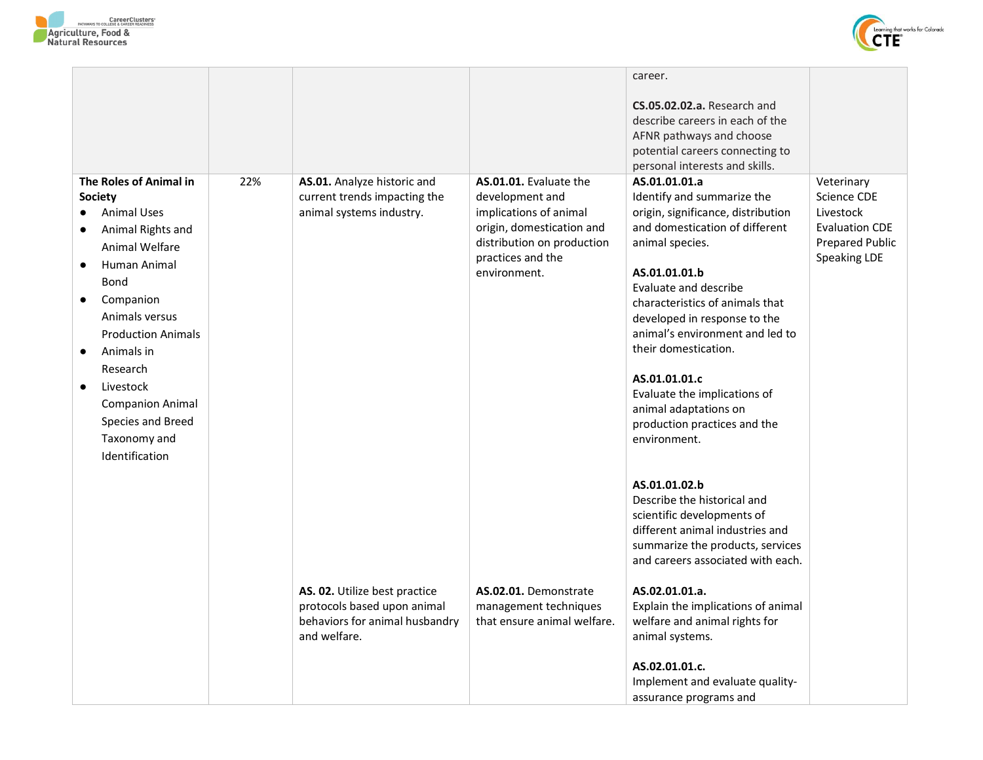



|                                                                                                                                                                                                                                                                                                                                                     |     |                                                                                                                |                                                                                                                                                                     | career.<br>CS.05.02.02.a. Research and<br>describe careers in each of the<br>AFNR pathways and choose<br>potential careers connecting to<br>personal interests and skills.                                                                                                                                                                                                                                                               |                                                                                                    |
|-----------------------------------------------------------------------------------------------------------------------------------------------------------------------------------------------------------------------------------------------------------------------------------------------------------------------------------------------------|-----|----------------------------------------------------------------------------------------------------------------|---------------------------------------------------------------------------------------------------------------------------------------------------------------------|------------------------------------------------------------------------------------------------------------------------------------------------------------------------------------------------------------------------------------------------------------------------------------------------------------------------------------------------------------------------------------------------------------------------------------------|----------------------------------------------------------------------------------------------------|
| The Roles of Animal in<br><b>Society</b><br><b>Animal Uses</b><br>Animal Rights and<br>Animal Welfare<br>Human Animal<br><b>Bond</b><br>Companion<br>$\bullet$<br>Animals versus<br><b>Production Animals</b><br>Animals in<br>Research<br>Livestock<br>$\bullet$<br><b>Companion Animal</b><br>Species and Breed<br>Taxonomy and<br>Identification | 22% | AS.01. Analyze historic and<br>current trends impacting the<br>animal systems industry.                        | AS.01.01. Evaluate the<br>development and<br>implications of animal<br>origin, domestication and<br>distribution on production<br>practices and the<br>environment. | AS.01.01.01.a<br>Identify and summarize the<br>origin, significance, distribution<br>and domestication of different<br>animal species.<br>AS.01.01.01.b<br>Evaluate and describe<br>characteristics of animals that<br>developed in response to the<br>animal's environment and led to<br>their domestication.<br>AS.01.01.01.c<br>Evaluate the implications of<br>animal adaptations on<br>production practices and the<br>environment. | Veterinary<br>Science CDE<br>Livestock<br><b>Evaluation CDE</b><br>Prepared Public<br>Speaking LDE |
|                                                                                                                                                                                                                                                                                                                                                     |     | AS. 02. Utilize best practice<br>protocols based upon animal<br>behaviors for animal husbandry<br>and welfare. | AS.02.01. Demonstrate<br>management techniques<br>that ensure animal welfare.                                                                                       | AS.01.01.02.b<br>Describe the historical and<br>scientific developments of<br>different animal industries and<br>summarize the products, services<br>and careers associated with each.<br>AS.02.01.01.a.<br>Explain the implications of animal<br>welfare and animal rights for<br>animal systems.<br>AS.02.01.01.c.<br>Implement and evaluate quality-<br>assurance programs and                                                        |                                                                                                    |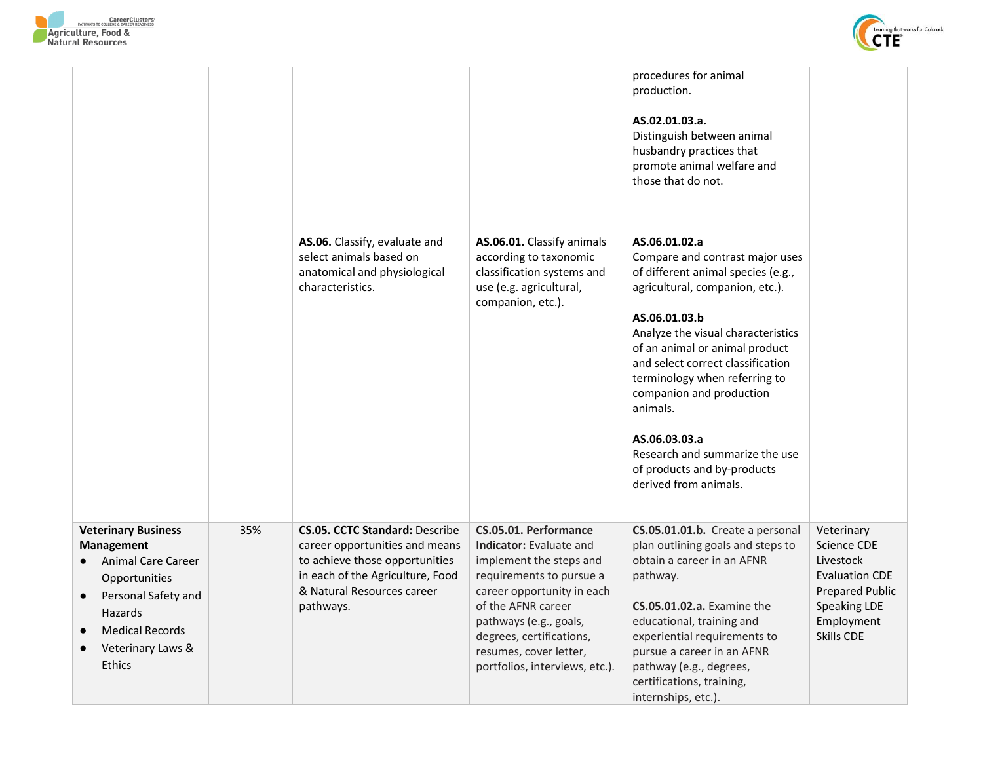



|                                                                                                                                                                                   |     |                                                                                                                                                                                          |                                                                                                                                                                                                                                                                                      | procedures for animal<br>production.<br>AS.02.01.03.a.<br>Distinguish between animal<br>husbandry practices that<br>promote animal welfare and<br>those that do not.                                                                                                                                                                                                                                                                        |                                                                                                                                       |
|-----------------------------------------------------------------------------------------------------------------------------------------------------------------------------------|-----|------------------------------------------------------------------------------------------------------------------------------------------------------------------------------------------|--------------------------------------------------------------------------------------------------------------------------------------------------------------------------------------------------------------------------------------------------------------------------------------|---------------------------------------------------------------------------------------------------------------------------------------------------------------------------------------------------------------------------------------------------------------------------------------------------------------------------------------------------------------------------------------------------------------------------------------------|---------------------------------------------------------------------------------------------------------------------------------------|
|                                                                                                                                                                                   |     | AS.06. Classify, evaluate and<br>select animals based on<br>anatomical and physiological<br>characteristics.                                                                             | AS.06.01. Classify animals<br>according to taxonomic<br>classification systems and<br>use (e.g. agricultural,<br>companion, etc.).                                                                                                                                                   | AS.06.01.02.a<br>Compare and contrast major uses<br>of different animal species (e.g.,<br>agricultural, companion, etc.).<br>AS.06.01.03.b<br>Analyze the visual characteristics<br>of an animal or animal product<br>and select correct classification<br>terminology when referring to<br>companion and production<br>animals.<br>AS.06.03.03.a<br>Research and summarize the use<br>of products and by-products<br>derived from animals. |                                                                                                                                       |
| <b>Veterinary Business</b><br><b>Management</b><br>Animal Care Career<br>Opportunities<br>Personal Safety and<br>Hazards<br><b>Medical Records</b><br>Veterinary Laws &<br>Ethics | 35% | <b>CS.05. CCTC Standard: Describe</b><br>career opportunities and means<br>to achieve those opportunities<br>in each of the Agriculture, Food<br>& Natural Resources career<br>pathways. | CS.05.01. Performance<br><b>Indicator:</b> Evaluate and<br>implement the steps and<br>requirements to pursue a<br>career opportunity in each<br>of the AFNR career<br>pathways (e.g., goals,<br>degrees, certifications,<br>resumes, cover letter,<br>portfolios, interviews, etc.). | CS.05.01.01.b. Create a personal<br>plan outlining goals and steps to<br>obtain a career in an AFNR<br>pathway.<br><b>CS.05.01.02.a.</b> Examine the<br>educational, training and<br>experiential requirements to<br>pursue a career in an AFNR<br>pathway (e.g., degrees,<br>certifications, training,<br>internships, etc.).                                                                                                              | Veterinary<br>Science CDE<br>Livestock<br><b>Evaluation CDE</b><br><b>Prepared Public</b><br>Speaking LDE<br>Employment<br>Skills CDE |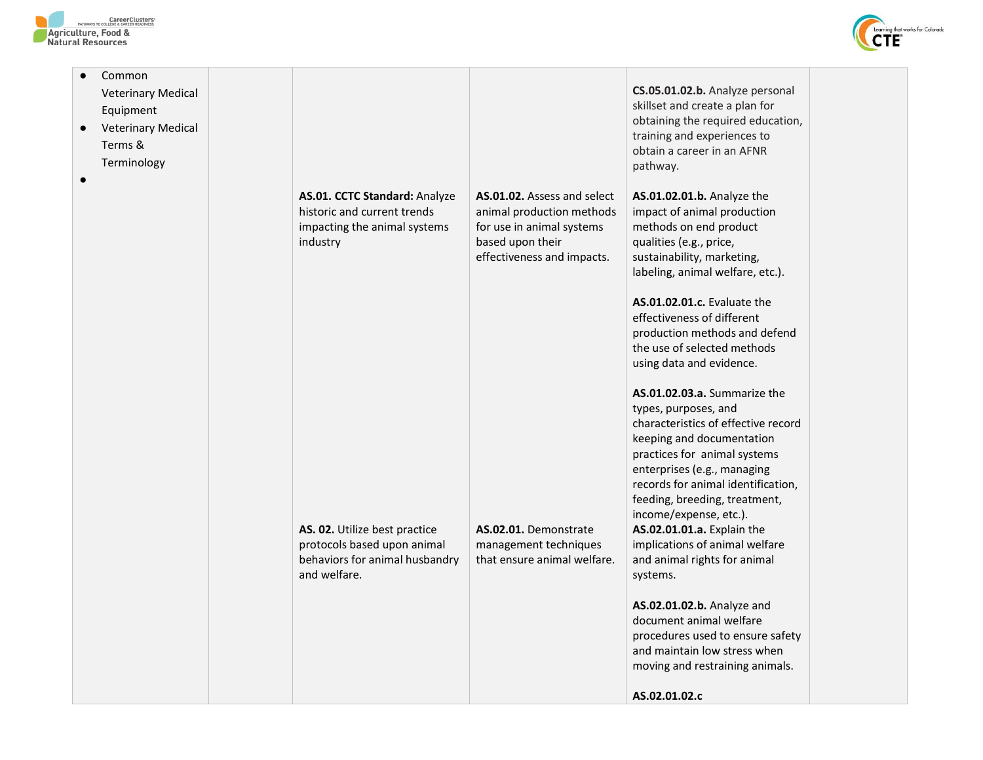



| Common<br><b>Veterinary Medical</b><br>Equipment<br><b>Veterinary Medical</b><br>$\bullet$<br>Terms &<br>Terminology | AS.01. CCTC Standard: Analyze<br>historic and current trends<br>impacting the animal systems<br>industry       | AS.01.02. Assess and select<br>animal production methods<br>for use in animal systems<br>based upon their<br>effectiveness and impacts. | CS.05.01.02.b. Analyze personal<br>skillset and create a plan for<br>obtaining the required education,<br>training and experiences to<br>obtain a career in an AFNR<br>pathway.<br>AS.01.02.01.b. Analyze the<br>impact of animal production<br>methods on end product<br>qualities (e.g., price,<br>sustainability, marketing,<br>labeling, animal welfare, etc.).<br>AS.01.02.01.c. Evaluate the<br>effectiveness of different<br>production methods and defend<br>the use of selected methods<br>using data and evidence.                                                          |  |
|----------------------------------------------------------------------------------------------------------------------|----------------------------------------------------------------------------------------------------------------|-----------------------------------------------------------------------------------------------------------------------------------------|---------------------------------------------------------------------------------------------------------------------------------------------------------------------------------------------------------------------------------------------------------------------------------------------------------------------------------------------------------------------------------------------------------------------------------------------------------------------------------------------------------------------------------------------------------------------------------------|--|
|                                                                                                                      | AS. 02. Utilize best practice<br>protocols based upon animal<br>behaviors for animal husbandry<br>and welfare. | AS.02.01. Demonstrate<br>management techniques<br>that ensure animal welfare.                                                           | AS.01.02.03.a. Summarize the<br>types, purposes, and<br>characteristics of effective record<br>keeping and documentation<br>practices for animal systems<br>enterprises (e.g., managing<br>records for animal identification,<br>feeding, breeding, treatment,<br>income/expense, etc.).<br>AS.02.01.01.a. Explain the<br>implications of animal welfare<br>and animal rights for animal<br>systems.<br>AS.02.01.02.b. Analyze and<br>document animal welfare<br>procedures used to ensure safety<br>and maintain low stress when<br>moving and restraining animals.<br>AS.02.01.02.c |  |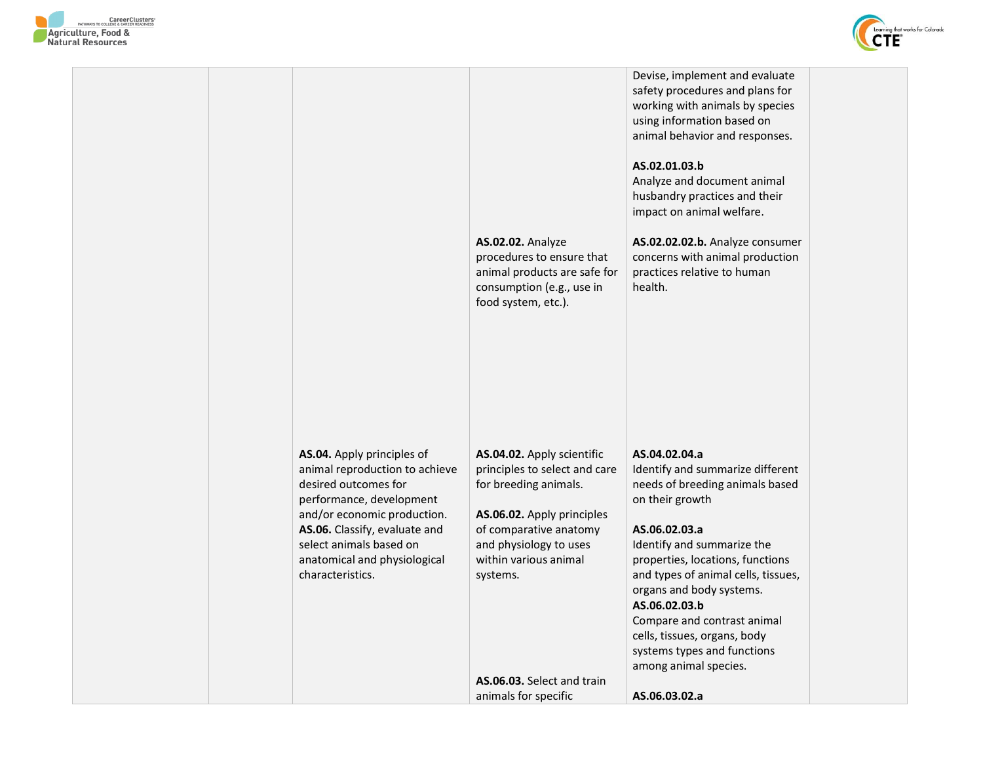



|                                                                                                                                                                                                                                                                 | <b>AS.02.02. Analyze</b><br>procedures to ensure that<br>animal products are safe for<br>consumption (e.g., use in<br>food system, etc.).                                                                   | Devise, implement and evaluate<br>safety procedures and plans for<br>working with animals by species<br>using information based on<br>animal behavior and responses.<br>AS.02.01.03.b<br>Analyze and document animal<br>husbandry practices and their<br>impact on animal welfare.<br>AS.02.02.02.b. Analyze consumer<br>concerns with animal production<br>practices relative to human<br>health.    |  |
|-----------------------------------------------------------------------------------------------------------------------------------------------------------------------------------------------------------------------------------------------------------------|-------------------------------------------------------------------------------------------------------------------------------------------------------------------------------------------------------------|-------------------------------------------------------------------------------------------------------------------------------------------------------------------------------------------------------------------------------------------------------------------------------------------------------------------------------------------------------------------------------------------------------|--|
| AS.04. Apply principles of<br>animal reproduction to achieve<br>desired outcomes for<br>performance, development<br>and/or economic production.<br>AS.06. Classify, evaluate and<br>select animals based on<br>anatomical and physiological<br>characteristics. | AS.04.02. Apply scientific<br>principles to select and care<br>for breeding animals.<br>AS.06.02. Apply principles<br>of comparative anatomy<br>and physiology to uses<br>within various animal<br>systems. | AS.04.02.04.a<br>Identify and summarize different<br>needs of breeding animals based<br>on their growth<br>AS.06.02.03.a<br>Identify and summarize the<br>properties, locations, functions<br>and types of animal cells, tissues,<br>organs and body systems.<br>AS.06.02.03.b<br>Compare and contrast animal<br>cells, tissues, organs, body<br>systems types and functions<br>among animal species. |  |
|                                                                                                                                                                                                                                                                 | AS.06.03. Select and train                                                                                                                                                                                  |                                                                                                                                                                                                                                                                                                                                                                                                       |  |
|                                                                                                                                                                                                                                                                 | animals for specific                                                                                                                                                                                        | AS.06.03.02.a                                                                                                                                                                                                                                                                                                                                                                                         |  |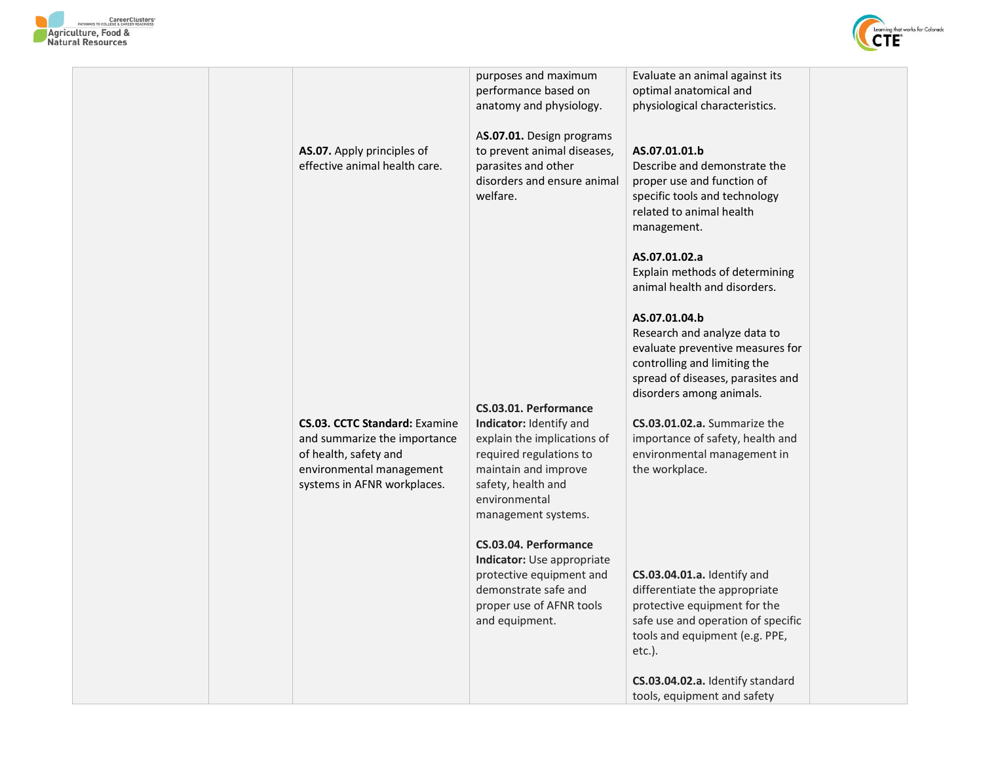



|                                                                                                                                                          | purposes and maximum<br>performance based on<br>anatomy and physiology.                                                                                                                          | Evaluate an animal against its<br>optimal anatomical and<br>physiological characteristics.                                                                                        |
|----------------------------------------------------------------------------------------------------------------------------------------------------------|--------------------------------------------------------------------------------------------------------------------------------------------------------------------------------------------------|-----------------------------------------------------------------------------------------------------------------------------------------------------------------------------------|
| AS.07. Apply principles of<br>effective animal health care.                                                                                              | AS.07.01. Design programs<br>to prevent animal diseases,<br>parasites and other<br>disorders and ensure animal<br>welfare.                                                                       | AS.07.01.01.b<br>Describe and demonstrate the<br>proper use and function of<br>specific tools and technology<br>related to animal health<br>management.                           |
|                                                                                                                                                          |                                                                                                                                                                                                  | AS.07.01.02.a<br>Explain methods of determining<br>animal health and disorders.                                                                                                   |
|                                                                                                                                                          |                                                                                                                                                                                                  | AS.07.01.04.b<br>Research and analyze data to<br>evaluate preventive measures for<br>controlling and limiting the<br>spread of diseases, parasites and                            |
| <b>CS.03. CCTC Standard: Examine</b><br>and summarize the importance<br>of health, safety and<br>environmental management<br>systems in AFNR workplaces. | CS.03.01. Performance<br>Indicator: Identify and<br>explain the implications of<br>required regulations to<br>maintain and improve<br>safety, health and<br>environmental<br>management systems. | disorders among animals.<br>CS.03.01.02.a. Summarize the<br>importance of safety, health and<br>environmental management in<br>the workplace.                                     |
|                                                                                                                                                          | CS.03.04. Performance<br>Indicator: Use appropriate<br>protective equipment and<br>demonstrate safe and<br>proper use of AFNR tools<br>and equipment.                                            | CS.03.04.01.a. Identify and<br>differentiate the appropriate<br>protective equipment for the<br>safe use and operation of specific<br>tools and equipment (e.g. PPE,<br>$etc.$ ). |
|                                                                                                                                                          |                                                                                                                                                                                                  | CS.03.04.02.a. Identify standard<br>tools, equipment and safety                                                                                                                   |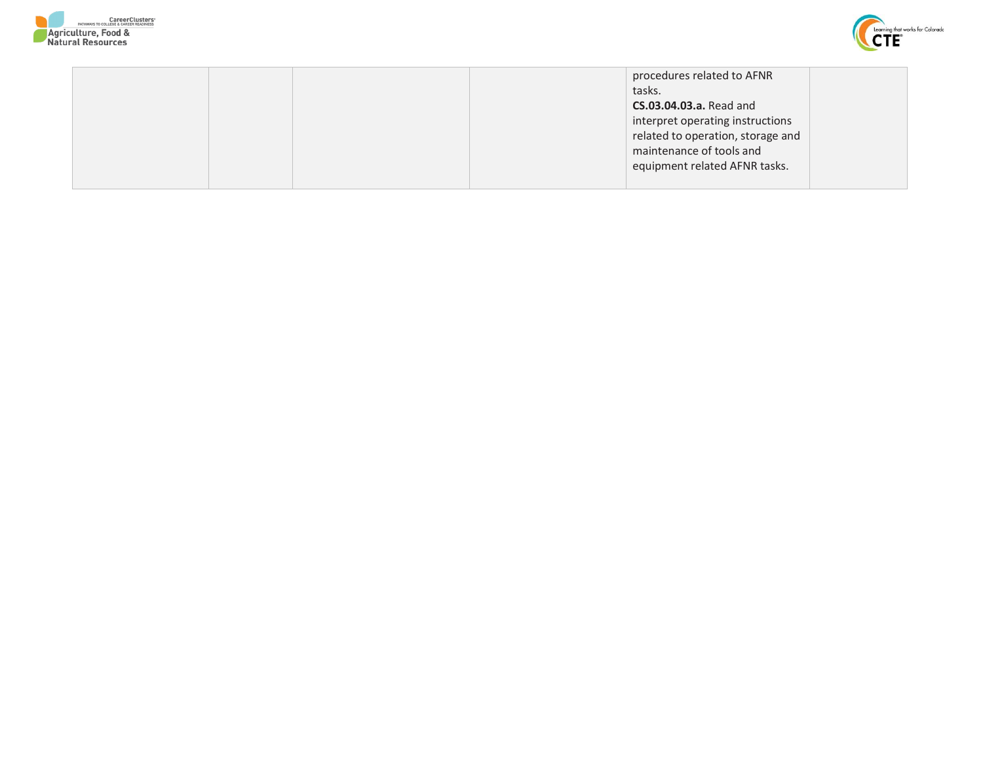



|  | procedures related to AFNR        |  |
|--|-----------------------------------|--|
|  | tasks.                            |  |
|  | <b>CS.03.04.03.a.</b> Read and    |  |
|  | interpret operating instructions  |  |
|  | related to operation, storage and |  |
|  | maintenance of tools and          |  |
|  | equipment related AFNR tasks.     |  |
|  |                                   |  |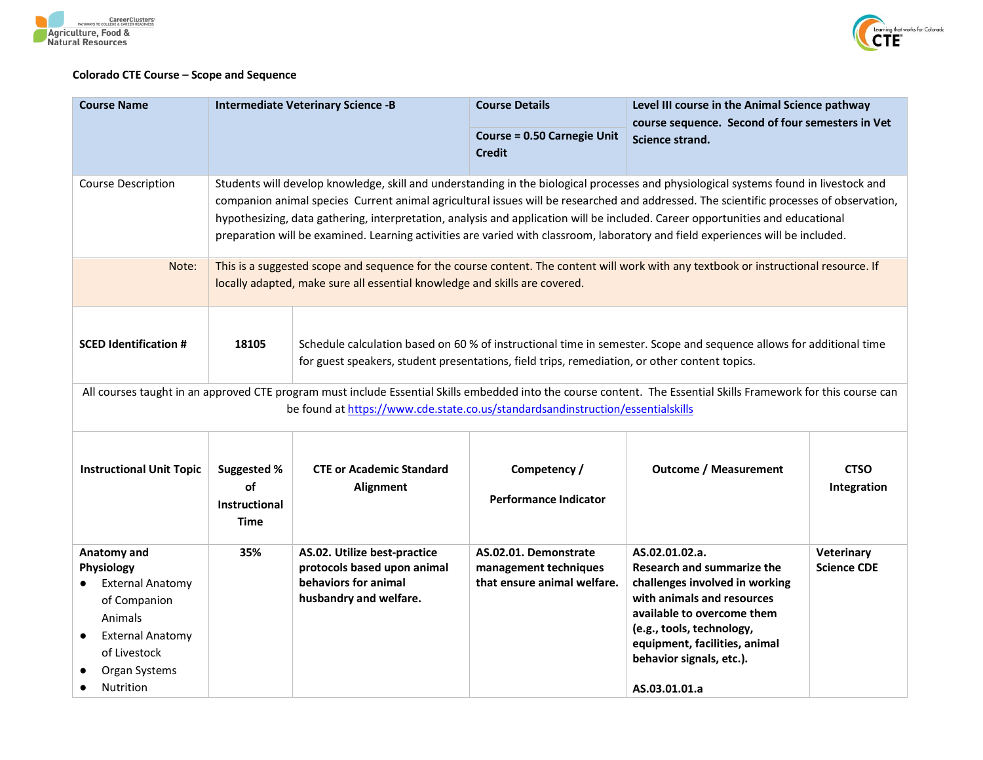



## **Colorado CTE Course – Scope and Sequence**

| <b>Course Name</b>                                                                                                                                              |                                                                                                                                                                                                                                                                                                                                                                                                                                                                                                                                                      | <b>Intermediate Veterinary Science -B</b>                                                                     | <b>Course Details</b>                                                         | Level III course in the Animal Science pathway                                                                                                                                                                                                               |                                  |
|-----------------------------------------------------------------------------------------------------------------------------------------------------------------|------------------------------------------------------------------------------------------------------------------------------------------------------------------------------------------------------------------------------------------------------------------------------------------------------------------------------------------------------------------------------------------------------------------------------------------------------------------------------------------------------------------------------------------------------|---------------------------------------------------------------------------------------------------------------|-------------------------------------------------------------------------------|--------------------------------------------------------------------------------------------------------------------------------------------------------------------------------------------------------------------------------------------------------------|----------------------------------|
|                                                                                                                                                                 |                                                                                                                                                                                                                                                                                                                                                                                                                                                                                                                                                      |                                                                                                               | <b>Course = 0.50 Carnegie Unit</b><br><b>Credit</b>                           | course sequence. Second of four semesters in Vet<br>Science strand.                                                                                                                                                                                          |                                  |
| <b>Course Description</b>                                                                                                                                       | Students will develop knowledge, skill and understanding in the biological processes and physiological systems found in livestock and<br>companion animal species Current animal agricultural issues will be researched and addressed. The scientific processes of observation,<br>hypothesizing, data gathering, interpretation, analysis and application will be included. Career opportunities and educational<br>preparation will be examined. Learning activities are varied with classroom, laboratory and field experiences will be included. |                                                                                                               |                                                                               |                                                                                                                                                                                                                                                              |                                  |
| Note:                                                                                                                                                           | This is a suggested scope and sequence for the course content. The content will work with any textbook or instructional resource. If<br>locally adapted, make sure all essential knowledge and skills are covered.                                                                                                                                                                                                                                                                                                                                   |                                                                                                               |                                                                               |                                                                                                                                                                                                                                                              |                                  |
| <b>SCED Identification #</b>                                                                                                                                    | 18105<br>Schedule calculation based on 60 % of instructional time in semester. Scope and sequence allows for additional time<br>for guest speakers, student presentations, field trips, remediation, or other content topics.                                                                                                                                                                                                                                                                                                                        |                                                                                                               |                                                                               |                                                                                                                                                                                                                                                              |                                  |
|                                                                                                                                                                 |                                                                                                                                                                                                                                                                                                                                                                                                                                                                                                                                                      | be found at https://www.cde.state.co.us/standardsandinstruction/essentialskills                               |                                                                               | All courses taught in an approved CTE program must include Essential Skills embedded into the course content. The Essential Skills Framework for this course can                                                                                             |                                  |
| <b>Instructional Unit Topic</b>                                                                                                                                 | Suggested %<br>οf<br>Instructional<br>Time                                                                                                                                                                                                                                                                                                                                                                                                                                                                                                           | <b>CTE or Academic Standard</b><br>Alignment                                                                  | Competency /<br><b>Performance Indicator</b>                                  | <b>Outcome / Measurement</b>                                                                                                                                                                                                                                 | <b>CTSO</b><br>Integration       |
| Anatomy and<br>Physiology<br><b>External Anatomy</b><br>of Companion<br>Animals<br><b>External Anatomy</b><br>of Livestock<br>Organ Systems<br><b>Nutrition</b> | 35%                                                                                                                                                                                                                                                                                                                                                                                                                                                                                                                                                  | AS.02. Utilize best-practice<br>protocols based upon animal<br>behaviors for animal<br>husbandry and welfare. | AS.02.01. Demonstrate<br>management techniques<br>that ensure animal welfare. | AS.02.01.02.a.<br><b>Research and summarize the</b><br>challenges involved in working<br>with animals and resources<br>available to overcome them<br>(e.g., tools, technology,<br>equipment, facilities, animal<br>behavior signals, etc.).<br>AS.03.01.01.a | Veterinary<br><b>Science CDE</b> |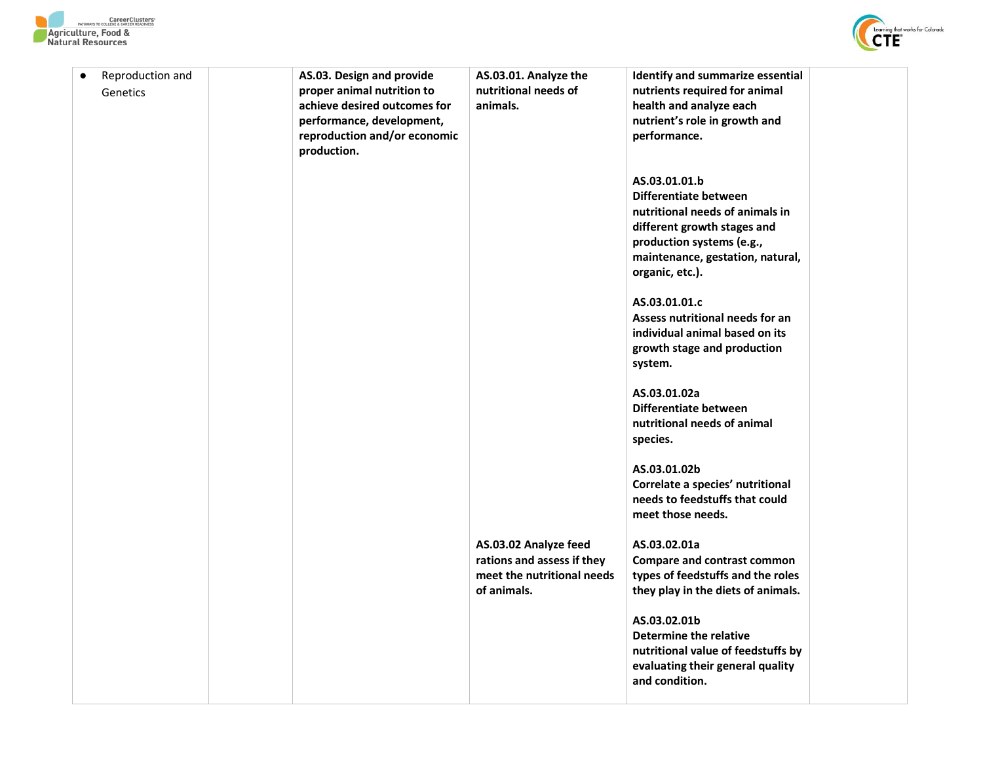



| $\bullet$ | Reproduction and<br>Genetics | AS.03. Design and provide<br>proper animal nutrition to<br>achieve desired outcomes for<br>performance, development,<br>reproduction and/or economic<br>production. | AS.03.01. Analyze the<br>nutritional needs of<br>animals.                                        | Identify and summarize essential<br>nutrients required for animal<br>health and analyze each<br>nutrient's role in growth and<br>performance.<br>AS.03.01.01.b<br>Differentiate between<br>nutritional needs of animals in<br>different growth stages and<br>production systems (e.g.,<br>maintenance, gestation, natural,<br>organic, etc.).<br>AS.03.01.01.c<br>Assess nutritional needs for an<br>individual animal based on its<br>growth stage and production<br>system.<br>AS.03.01.02a<br>Differentiate between<br>nutritional needs of animal<br>species. |  |
|-----------|------------------------------|---------------------------------------------------------------------------------------------------------------------------------------------------------------------|--------------------------------------------------------------------------------------------------|-------------------------------------------------------------------------------------------------------------------------------------------------------------------------------------------------------------------------------------------------------------------------------------------------------------------------------------------------------------------------------------------------------------------------------------------------------------------------------------------------------------------------------------------------------------------|--|
|           |                              |                                                                                                                                                                     |                                                                                                  | AS.03.01.02b<br>Correlate a species' nutritional<br>needs to feedstuffs that could<br>meet those needs.                                                                                                                                                                                                                                                                                                                                                                                                                                                           |  |
|           |                              |                                                                                                                                                                     | AS.03.02 Analyze feed<br>rations and assess if they<br>meet the nutritional needs<br>of animals. | AS.03.02.01a<br><b>Compare and contrast common</b><br>types of feedstuffs and the roles<br>they play in the diets of animals.                                                                                                                                                                                                                                                                                                                                                                                                                                     |  |
|           |                              |                                                                                                                                                                     |                                                                                                  | AS.03.02.01b<br>Determine the relative<br>nutritional value of feedstuffs by<br>evaluating their general quality<br>and condition.                                                                                                                                                                                                                                                                                                                                                                                                                                |  |
|           |                              |                                                                                                                                                                     |                                                                                                  |                                                                                                                                                                                                                                                                                                                                                                                                                                                                                                                                                                   |  |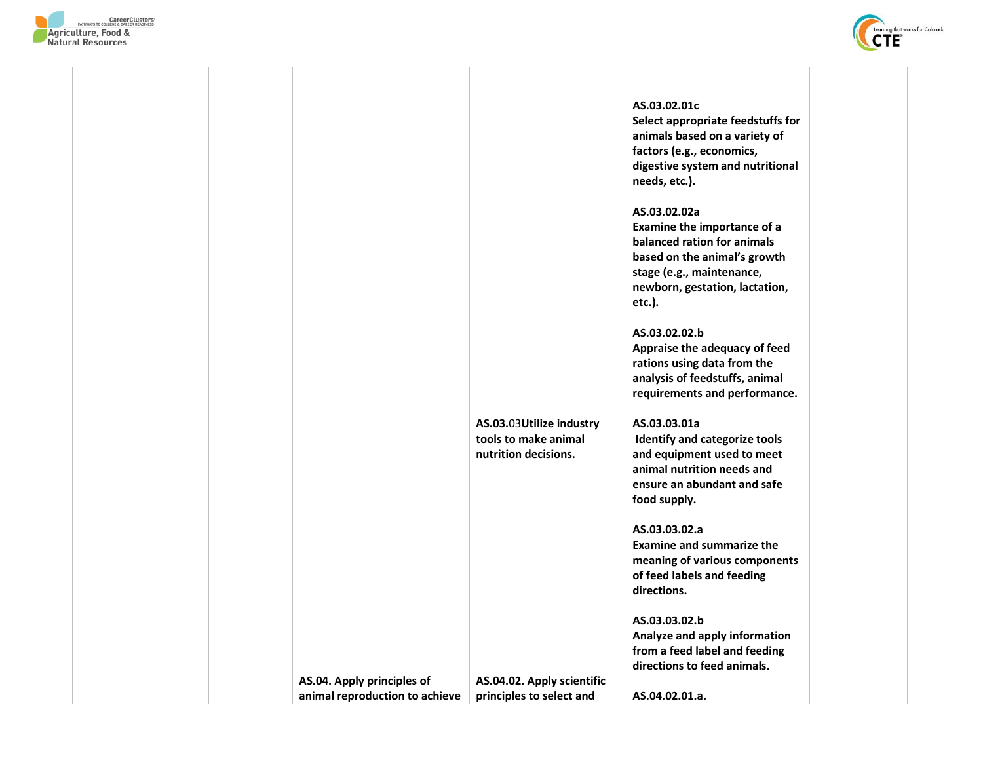



|                                | AS.03.03Utilize industry<br>tools to make animal<br>nutrition decisions. | AS.03.02.01c<br>Select appropriate feedstuffs for<br>animals based on a variety of<br>factors (e.g., economics,<br>digestive system and nutritional<br>needs, etc.).<br>AS.03.02.02a<br>Examine the importance of a<br>balanced ration for animals<br>based on the animal's growth<br>stage (e.g., maintenance,<br>newborn, gestation, lactation,<br>etc.).<br>AS.03.02.02.b<br>Appraise the adequacy of feed<br>rations using data from the<br>analysis of feedstuffs, animal<br>requirements and performance.<br>AS.03.03.01a<br>Identify and categorize tools<br>and equipment used to meet<br>animal nutrition needs and<br>ensure an abundant and safe<br>food supply.<br>AS.03.03.02.a<br><b>Examine and summarize the</b><br>meaning of various components<br>of feed labels and feeding<br>directions.<br>AS.03.03.02.b<br>Analyze and apply information<br>from a feed label and feeding<br>directions to feed animals. |  |
|--------------------------------|--------------------------------------------------------------------------|----------------------------------------------------------------------------------------------------------------------------------------------------------------------------------------------------------------------------------------------------------------------------------------------------------------------------------------------------------------------------------------------------------------------------------------------------------------------------------------------------------------------------------------------------------------------------------------------------------------------------------------------------------------------------------------------------------------------------------------------------------------------------------------------------------------------------------------------------------------------------------------------------------------------------------|--|
| AS.04. Apply principles of     | AS.04.02. Apply scientific                                               |                                                                                                                                                                                                                                                                                                                                                                                                                                                                                                                                                                                                                                                                                                                                                                                                                                                                                                                                  |  |
| animal reproduction to achieve | principles to select and                                                 | AS.04.02.01.a.                                                                                                                                                                                                                                                                                                                                                                                                                                                                                                                                                                                                                                                                                                                                                                                                                                                                                                                   |  |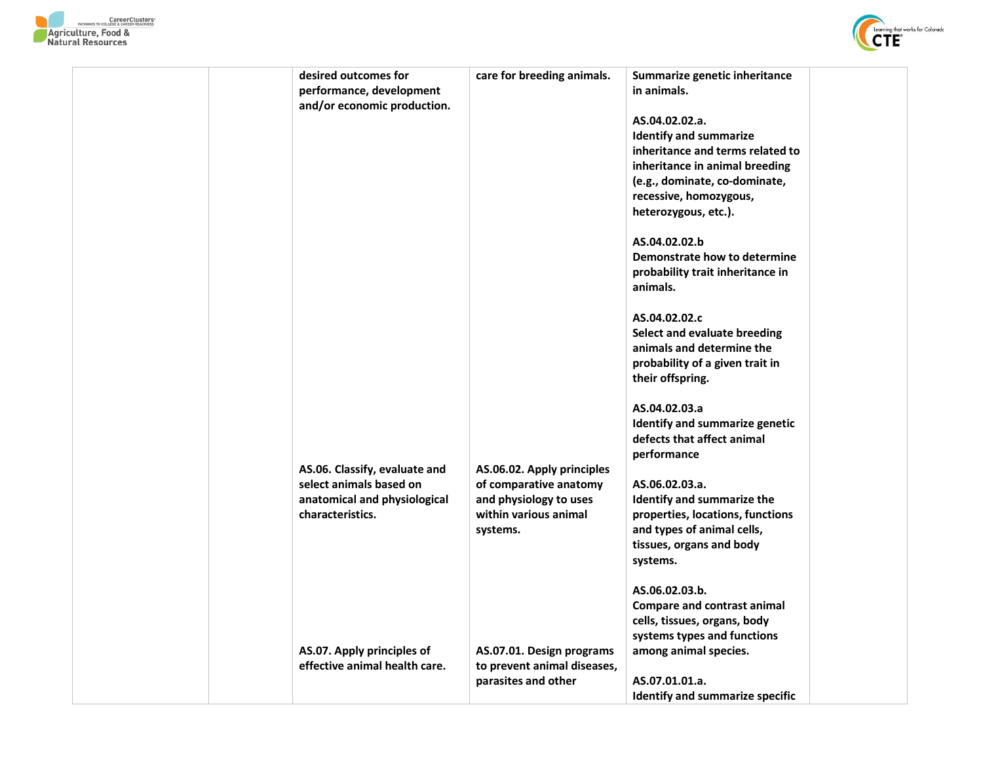



| desired outcomes for<br>performance, development<br>and/or economic production.          | care for breeding animals.                                                      | Summarize genetic inheritance<br>in animals.<br>AS.04.02.02.a.<br><b>Identify and summarize</b><br>inheritance and terms related to<br>inheritance in animal breeding<br>(e.g., dominate, co-dominate,<br>recessive, homozygous,<br>heterozygous, etc.).<br>AS.04.02.02.b<br>Demonstrate how to determine<br>probability trait inheritance in<br>animals.<br>AS.04.02.02.c |
|------------------------------------------------------------------------------------------|---------------------------------------------------------------------------------|----------------------------------------------------------------------------------------------------------------------------------------------------------------------------------------------------------------------------------------------------------------------------------------------------------------------------------------------------------------------------|
|                                                                                          |                                                                                 | Select and evaluate breeding<br>animals and determine the<br>probability of a given trait in<br>their offspring.                                                                                                                                                                                                                                                           |
| AS.06. Classify, evaluate and<br>select animals based on<br>anatomical and physiological | AS.06.02. Apply principles<br>of comparative anatomy<br>and physiology to uses  | AS.04.02.03.a<br>Identify and summarize genetic<br>defects that affect animal<br>performance<br>AS.06.02.03.a.<br>Identify and summarize the                                                                                                                                                                                                                               |
| characteristics.                                                                         | within various animal<br>systems.                                               | properties, locations, functions<br>and types of animal cells,<br>tissues, organs and body<br>systems.                                                                                                                                                                                                                                                                     |
|                                                                                          |                                                                                 | AS.06.02.03.b.<br><b>Compare and contrast animal</b><br>cells, tissues, organs, body<br>systems types and functions                                                                                                                                                                                                                                                        |
| AS.07. Apply principles of<br>effective animal health care.                              | AS.07.01. Design programs<br>to prevent animal diseases,<br>parasites and other | among animal species.<br>AS.07.01.01.a.<br><b>Identify and summarize specific</b>                                                                                                                                                                                                                                                                                          |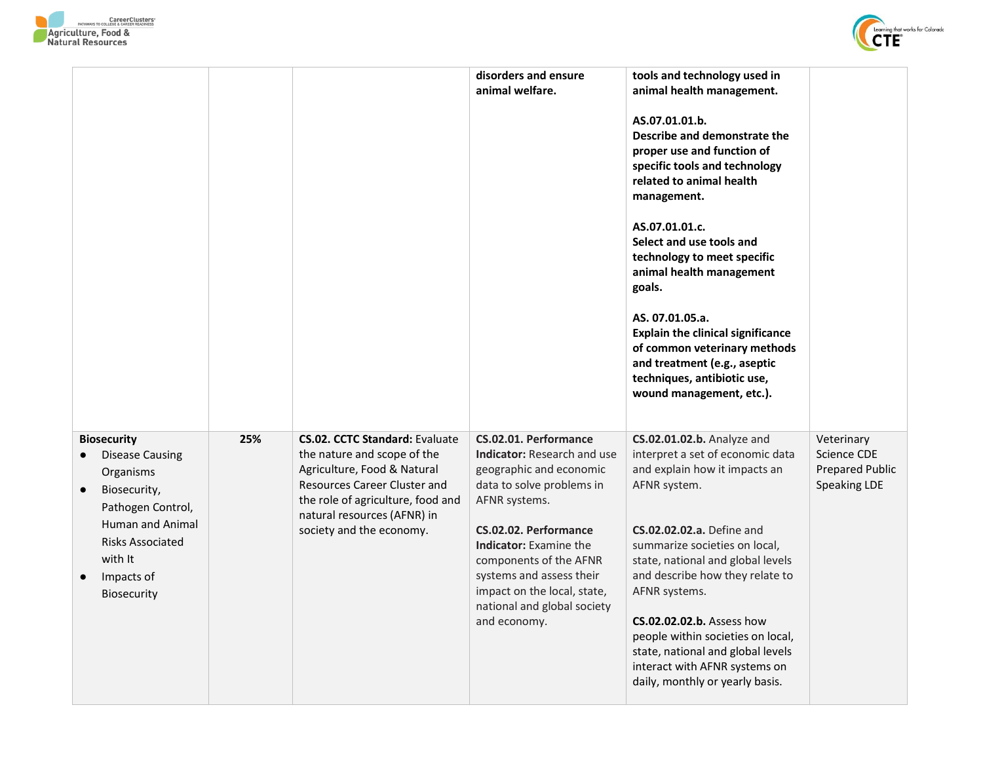



|                                                                                                                                                                                                           |     |                                                                                                                                                                                                                                     | disorders and ensure<br>animal welfare.                                                                                                                                                                                                                                                                              | tools and technology used in<br>animal health management.<br>AS.07.01.01.b.<br>Describe and demonstrate the<br>proper use and function of<br>specific tools and technology<br>related to animal health<br>management.<br>AS.07.01.01.c.<br>Select and use tools and<br>technology to meet specific<br>animal health management<br>goals.<br>AS. 07.01.05.a.<br><b>Explain the clinical significance</b><br>of common veterinary methods<br>and treatment (e.g., aseptic<br>techniques, antibiotic use,<br>wound management, etc.). |                                                                            |
|-----------------------------------------------------------------------------------------------------------------------------------------------------------------------------------------------------------|-----|-------------------------------------------------------------------------------------------------------------------------------------------------------------------------------------------------------------------------------------|----------------------------------------------------------------------------------------------------------------------------------------------------------------------------------------------------------------------------------------------------------------------------------------------------------------------|------------------------------------------------------------------------------------------------------------------------------------------------------------------------------------------------------------------------------------------------------------------------------------------------------------------------------------------------------------------------------------------------------------------------------------------------------------------------------------------------------------------------------------|----------------------------------------------------------------------------|
| <b>Biosecurity</b><br>Disease Causing<br>Organisms<br>Biosecurity,<br>Pathogen Control,<br><b>Human and Animal</b><br><b>Risks Associated</b><br>with It<br>Impacts of<br>$\bullet$<br><b>Biosecurity</b> | 25% | <b>CS.02. CCTC Standard: Evaluate</b><br>the nature and scope of the<br>Agriculture, Food & Natural<br>Resources Career Cluster and<br>the role of agriculture, food and<br>natural resources (AFNR) in<br>society and the economy. | CS.02.01. Performance<br>Indicator: Research and use<br>geographic and economic<br>data to solve problems in<br>AFNR systems.<br>CS.02.02. Performance<br>Indicator: Examine the<br>components of the AFNR<br>systems and assess their<br>impact on the local, state,<br>national and global society<br>and economy. | CS.02.01.02.b. Analyze and<br>interpret a set of economic data<br>and explain how it impacts an<br>AFNR system.<br><b>CS.02.02.02.a.</b> Define and<br>summarize societies on local,<br>state, national and global levels<br>and describe how they relate to<br>AFNR systems.<br>CS.02.02.02.b. Assess how<br>people within societies on local,<br>state, national and global levels<br>interact with AFNR systems on<br>daily, monthly or yearly basis.                                                                           | Veterinary<br><b>Science CDE</b><br><b>Prepared Public</b><br>Speaking LDE |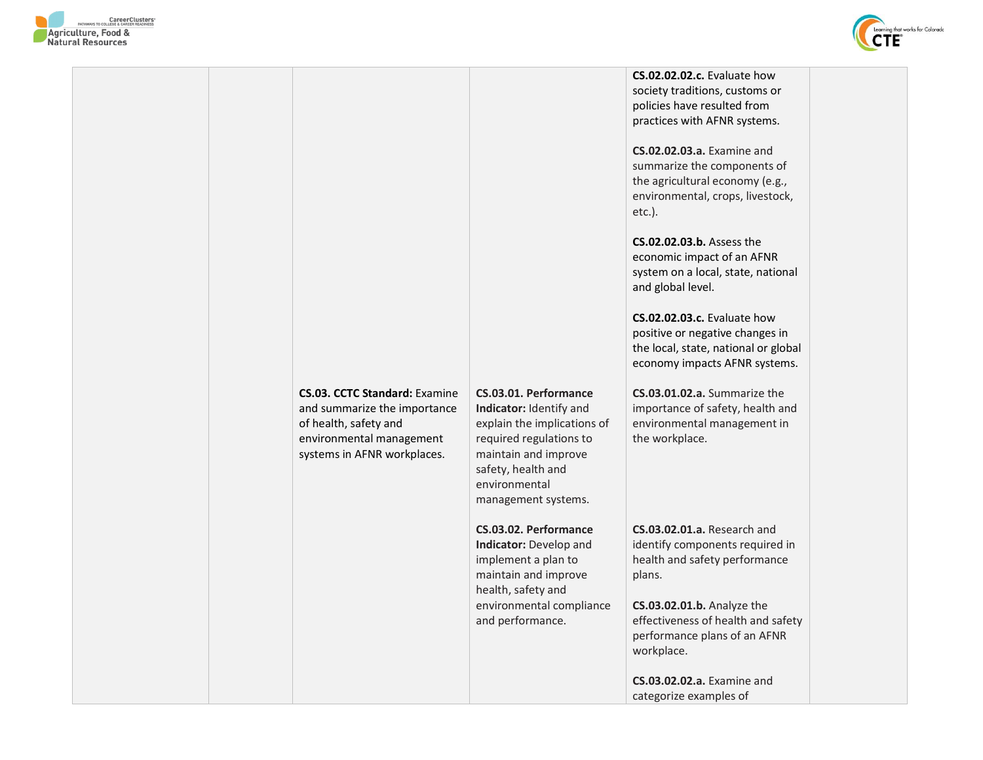



**CS.02.02.02.c.** Evaluate how society traditions, customs or policies have resulted from practices with AFNR systems.

**CS.02.02.03.a.** Examine and summarize the components of the agricultural economy (e.g., environmental, crops, livestock, etc.).

**CS.02.02.03.b.** Assess the economic impact of an AFNR system on a local, state, national and global level.

**CS.02.02.03.c.** Evaluate how positive or negative changes in the local, state, national or global economy impacts AFNR systems.

**CS.03.01.02.a.** Summarize the importance of safety, health and environmental management in the workplace.

**CS.03.02.01.a.** Research and identify components required in health and safety performance plans.

**CS.03.02.01.b.** Analyze the effectiveness of health and safety performance plans of an AFNR workplace.

**CS.03.02.02.a.** Examine and categorize examples of

## **CS.03. CCTC Standard:** Examine and summarize the importance

of health, safety and environmental management systems in AFNR workplaces.

## **CS.03.01. Performance Indicator:** Identify and

explain the implications of required regulations to maintain and improve safety, health and environmental management systems.

**CS.03.02. Performance Indicator:** Develop and implement a plan to maintain and improve health, safety and environmental compliance and performance.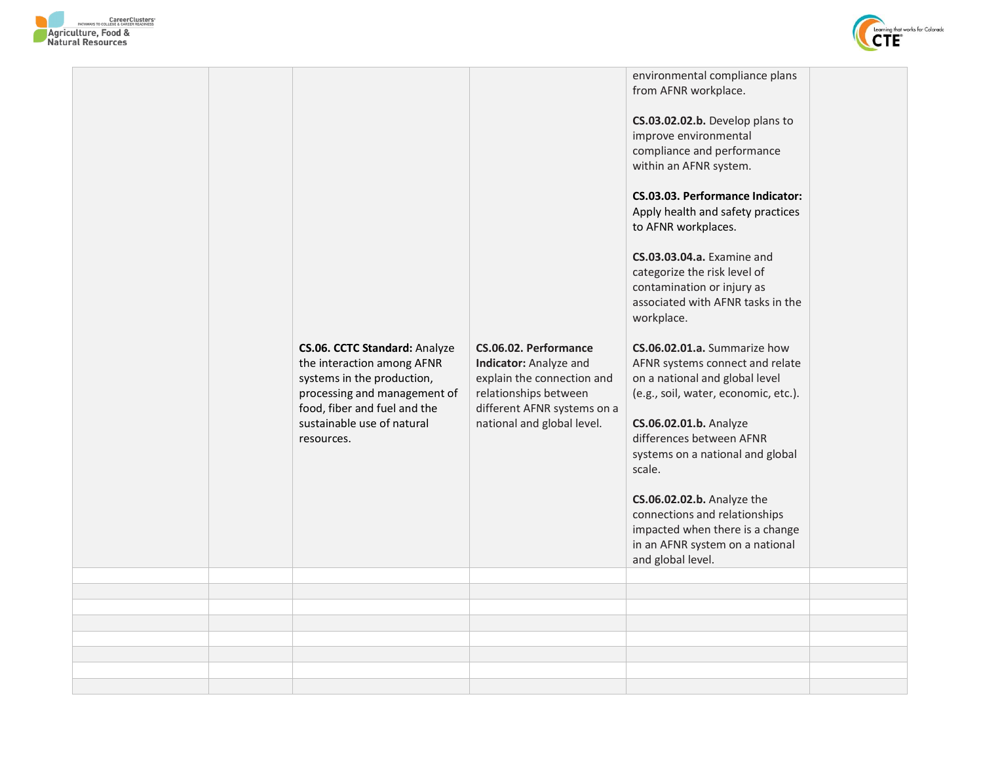



|  |                                                                                                                                                                                                              |                                                                                                                                                                     | environmental compliance plans<br>from AFNR workplace.<br>CS.03.02.02.b. Develop plans to<br>improve environmental<br>compliance and performance<br>within an AFNR system.<br>CS.03.03. Performance Indicator:<br>Apply health and safety practices<br>to AFNR workplaces.<br>CS.03.03.04.a. Examine and |  |
|--|--------------------------------------------------------------------------------------------------------------------------------------------------------------------------------------------------------------|---------------------------------------------------------------------------------------------------------------------------------------------------------------------|----------------------------------------------------------------------------------------------------------------------------------------------------------------------------------------------------------------------------------------------------------------------------------------------------------|--|
|  |                                                                                                                                                                                                              |                                                                                                                                                                     | categorize the risk level of<br>contamination or injury as<br>associated with AFNR tasks in the<br>workplace.                                                                                                                                                                                            |  |
|  | <b>CS.06. CCTC Standard: Analyze</b><br>the interaction among AFNR<br>systems in the production,<br>processing and management of<br>food, fiber and fuel and the<br>sustainable use of natural<br>resources. | CS.06.02. Performance<br>Indicator: Analyze and<br>explain the connection and<br>relationships between<br>different AFNR systems on a<br>national and global level. | CS.06.02.01.a. Summarize how<br>AFNR systems connect and relate<br>on a national and global level<br>(e.g., soil, water, economic, etc.).<br>CS.06.02.01.b. Analyze<br>differences between AFNR                                                                                                          |  |
|  |                                                                                                                                                                                                              |                                                                                                                                                                     | systems on a national and global<br>scale.<br>CS.06.02.02.b. Analyze the<br>connections and relationships<br>impacted when there is a change<br>in an AFNR system on a national<br>and global level.                                                                                                     |  |
|  |                                                                                                                                                                                                              |                                                                                                                                                                     |                                                                                                                                                                                                                                                                                                          |  |
|  |                                                                                                                                                                                                              |                                                                                                                                                                     |                                                                                                                                                                                                                                                                                                          |  |
|  |                                                                                                                                                                                                              |                                                                                                                                                                     |                                                                                                                                                                                                                                                                                                          |  |
|  |                                                                                                                                                                                                              |                                                                                                                                                                     |                                                                                                                                                                                                                                                                                                          |  |
|  |                                                                                                                                                                                                              |                                                                                                                                                                     |                                                                                                                                                                                                                                                                                                          |  |
|  |                                                                                                                                                                                                              |                                                                                                                                                                     |                                                                                                                                                                                                                                                                                                          |  |
|  |                                                                                                                                                                                                              |                                                                                                                                                                     |                                                                                                                                                                                                                                                                                                          |  |
|  |                                                                                                                                                                                                              |                                                                                                                                                                     |                                                                                                                                                                                                                                                                                                          |  |